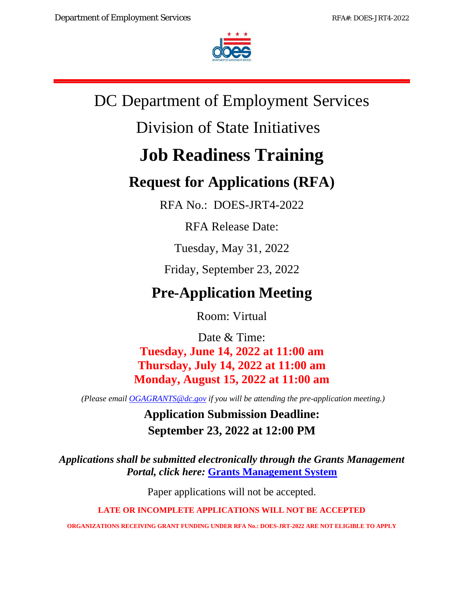

# DC Department of Employment Services

# Division of State Initiatives

# **Job Readiness Training**

# **Request for Applications (RFA)**

RFA No.: DOES-JRT4-2022

RFA Release Date:

Tuesday, May 31, 2022

Friday, September 23, 2022

# **Pre-Application Meeting**

Room: Virtual

Date & Time: **Tuesday, June 14, 2022 at 11:00 am Thursday, July 14, 2022 at 11:00 am Monday, August 15, 2022 at 11:00 am** 

*(Please email [OGAGRANTS@dc.gov](mailto:OGAGRANTS@dc.gov) if you will be attending the pre-application meeting.)*

**Application Submission Deadline: September 23, 2022 at 12:00 PM**

*Applications shall be submitted electronically through the Grants Management Portal, click here:* **[Grants Management System](https://jlweb.co/prod1/portal/portal.jsp?c=66176630&p=66183389&g=66183409)**

Paper applications will not be accepted.

**LATE OR INCOMPLETE APPLICATIONS WILL NOT BE ACCEPTED**

**ORGANIZATIONS RECEIVING GRANT FUNDING UNDER RFA No.: DOES-JRT-2022 ARE NOT ELIGIBLE TO APPLY**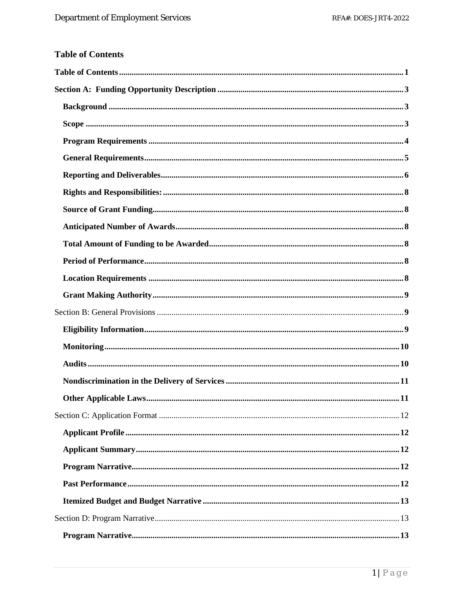<span id="page-1-0"></span>

|  | <b>Table of Contents</b> |  |
|--|--------------------------|--|
|  |                          |  |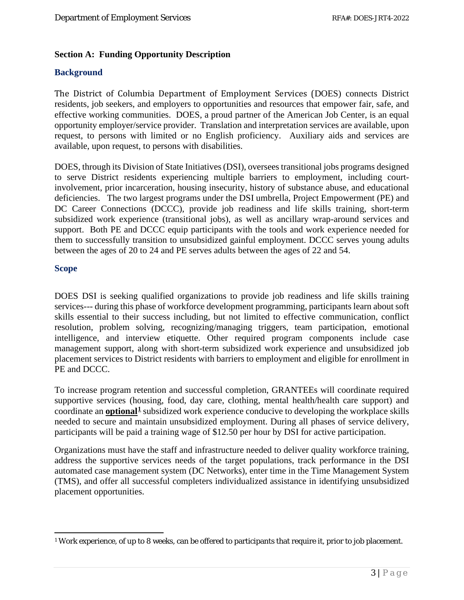# <span id="page-3-0"></span>**Section A: Funding Opportunity Description**

# <span id="page-3-1"></span>**Background**

The District of Columbia Department of Employment Services (DOES) connects District residents, job seekers, and employers to opportunities and resources that empower fair, safe, and effective working communities. DOES, a proud partner of the American Job Center, is an equal opportunity employer/service provider. Translation and interpretation services are available, upon request, to persons with limited or no English proficiency. Auxiliary aids and services are available, upon request, to persons with disabilities.

DOES, through its Division of State Initiatives (DSI), oversees transitional jobs programs designed to serve District residents experiencing multiple barriers to employment, including courtinvolvement, prior incarceration, housing insecurity, history of substance abuse, and educational deficiencies. The two largest programs under the DSI umbrella, Project Empowerment (PE) and DC Career Connections (DCCC), provide job readiness and life skills training, short-term subsidized work experience (transitional jobs), as well as ancillary wrap-around services and support. Both PE and DCCC equip participants with the tools and work experience needed for them to successfully transition to unsubsidized gainful employment. DCCC serves young adults between the ages of 20 to 24 and PE serves adults between the ages of 22 and 54.

#### <span id="page-3-2"></span>**Scope**

DOES DSI is seeking qualified organizations to provide job readiness and life skills training services--- during this phase of workforce development programming, participants learn about soft skills essential to their success including, but not limited to effective communication, conflict resolution, problem solving, recognizing/managing triggers, team participation, emotional intelligence, and interview etiquette. Other required program components include case management support, along with short-term subsidized work experience and unsubsidized job placement services to District residents with barriers to employment and eligible for enrollment in PE and DCCC.

To increase program retention and successful completion, GRANTEEs will coordinate required supportive services (housing, food, day care, clothing, mental health/health care support) and coordinate an **optional[1](#page-3-3)** subsidized work experience conducive to developing the workplace skills needed to secure and maintain unsubsidized employment. During all phases of service delivery, participants will be paid a training wage of \$12.50 per hour by DSI for active participation.

Organizations must have the staff and infrastructure needed to deliver quality workforce training, address the supportive services needs of the target populations, track performance in the DSI automated case management system (DC Networks), enter time in the Time Management System (TMS), and offer all successful completers individualized assistance in identifying unsubsidized placement opportunities.

<span id="page-3-3"></span><sup>1</sup> Work experience, of up to 8 weeks, can be offered to participants that require it, prior to job placement.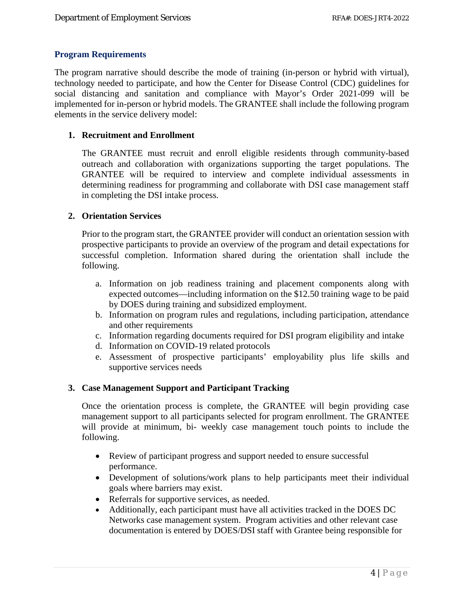#### <span id="page-4-0"></span>**Program Requirements**

The program narrative should describe the mode of training (in-person or hybrid with virtual), technology needed to participate, and how the Center for Disease Control (CDC) guidelines for social distancing and sanitation and compliance with Mayor's Order 2021-099 will be implemented for in-person or hybrid models. The GRANTEE shall include the following program elements in the service delivery model:

#### **1. Recruitment and Enrollment**

The GRANTEE must recruit and enroll eligible residents through community-based outreach and collaboration with organizations supporting the target populations. The GRANTEE will be required to interview and complete individual assessments in determining readiness for programming and collaborate with DSI case management staff in completing the DSI intake process.

#### **2. Orientation Services**

Prior to the program start, the GRANTEE provider will conduct an orientation session with prospective participants to provide an overview of the program and detail expectations for successful completion. Information shared during the orientation shall include the following.

- a. Information on job readiness training and placement components along with expected outcomes—including information on the \$12.50 training wage to be paid by DOES during training and subsidized employment.
- b. Information on program rules and regulations, including participation, attendance and other requirements
- c. Information regarding documents required for DSI program eligibility and intake
- d. Information on COVID-19 related protocols
- e. Assessment of prospective participants' employability plus life skills and supportive services needs

# **3. Case Management Support and Participant Tracking**

Once the orientation process is complete, the GRANTEE will begin providing case management support to all participants selected for program enrollment. The GRANTEE will provide at minimum, bi- weekly case management touch points to include the following.

- Review of participant progress and support needed to ensure successful performance.
- Development of solutions/work plans to help participants meet their individual goals where barriers may exist.
- Referrals for supportive services, as needed.
- Additionally, each participant must have all activities tracked in the DOES DC Networks case management system. Program activities and other relevant case documentation is entered by DOES/DSI staff with Grantee being responsible for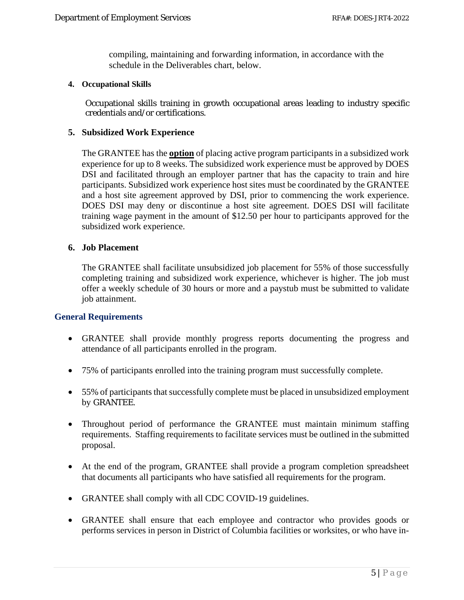compiling, maintaining and forwarding information, in accordance with the schedule in the Deliverables chart, below.

#### **4. Occupational Skills**

Occupational skills training in growth occupational areas leading to industry specific credentials and/or certifications.

#### **5. Subsidized Work Experience**

The GRANTEE has the **option** of placing active program participants in a subsidized work experience for up to 8 weeks. The subsidized work experience must be approved by DOES DSI and facilitated through an employer partner that has the capacity to train and hire participants. Subsidized work experience host sites must be coordinated by the GRANTEE and a host site agreement approved by DSI, prior to commencing the work experience. DOES DSI may deny or discontinue a host site agreement. DOES DSI will facilitate training wage payment in the amount of \$12.50 per hour to participants approved for the subsidized work experience.

#### **6. Job Placement**

The GRANTEE shall facilitate unsubsidized job placement for 55% of those successfully completing training and subsidized work experience, whichever is higher. The job must offer a weekly schedule of 30 hours or more and a paystub must be submitted to validate job attainment.

#### <span id="page-5-0"></span>**General Requirements**

- GRANTEE shall provide monthly progress reports documenting the progress and attendance of all participants enrolled in the program.
- 75% of participants enrolled into the training program must successfully complete.
- 55% of participants that successfully complete must be placed in unsubsidized employment by GRANTEE.
- Throughout period of performance the GRANTEE must maintain minimum staffing requirements. Staffing requirements to facilitate services must be outlined in the submitted proposal.
- At the end of the program, GRANTEE shall provide a program completion spreadsheet that documents all participants who have satisfied all requirements for the program.
- GRANTEE shall comply with all CDC COVID-19 guidelines.
- GRANTEE shall ensure that each employee and contractor who provides goods or performs services in person in District of Columbia facilities or worksites, or who have in-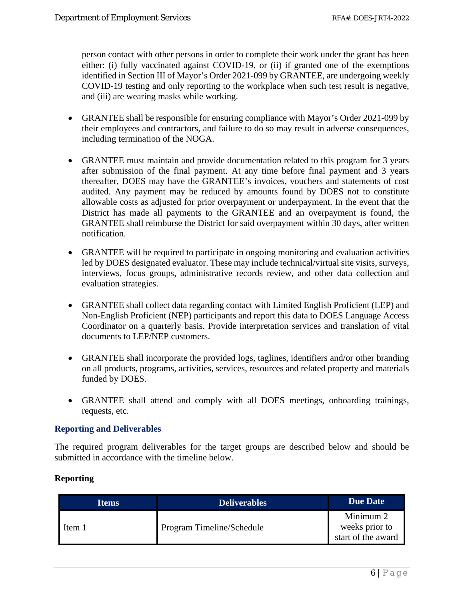person contact with other persons in order to complete their work under the grant has been either: (i) fully vaccinated against COVID-19, or (ii) if granted one of the exemptions identified in Section III of Mayor's Order 2021-099 by GRANTEE, are undergoing weekly COVID-19 testing and only reporting to the workplace when such test result is negative, and (iii) are wearing masks while working.

- GRANTEE shall be responsible for ensuring compliance with Mayor's Order 2021-099 by their employees and contractors, and failure to do so may result in adverse consequences, including termination of the NOGA.
- GRANTEE must maintain and provide documentation related to this program for 3 years after submission of the final payment. At any time before final payment and 3 years thereafter, DOES may have the GRANTEE's invoices, vouchers and statements of cost audited. Any payment may be reduced by amounts found by DOES not to constitute allowable costs as adjusted for prior overpayment or underpayment. In the event that the District has made all payments to the GRANTEE and an overpayment is found, the GRANTEE shall reimburse the District for said overpayment within 30 days, after written notification.
- GRANTEE will be required to participate in ongoing monitoring and evaluation activities led by DOES designated evaluator. These may include technical/virtual site visits, surveys, interviews, focus groups, administrative records review, and other data collection and evaluation strategies.
- GRANTEE shall collect data regarding contact with Limited English Proficient (LEP) and Non-English Proficient (NEP) participants and report this data to DOES Language Access Coordinator on a quarterly basis. Provide interpretation services and translation of vital documents to LEP/NEP customers.
- GRANTEE shall incorporate the provided logs, taglines, identifiers and/or other branding on all products, programs, activities, services, resources and related property and materials funded by DOES.
- GRANTEE shall attend and comply with all DOES meetings, onboarding trainings, requests, etc.

# <span id="page-6-0"></span>**Reporting and Deliverables**

The required program deliverables for the target groups are described below and should be submitted in accordance with the timeline below.

# **Reporting**

| <b>Items</b> | <b>Deliverables</b>       | <b>Due Date</b>                                   |
|--------------|---------------------------|---------------------------------------------------|
| Item 1       | Program Timeline/Schedule | Minimum 2<br>weeks prior to<br>start of the award |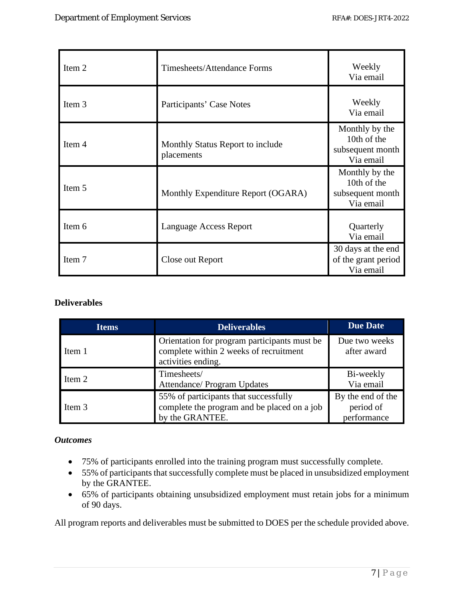| Item 2 | Timesheets/Attendance Forms                    | Weekly<br>Via email                                            |
|--------|------------------------------------------------|----------------------------------------------------------------|
| Item 3 | Participants' Case Notes                       | Weekly<br>Via email                                            |
| Item 4 | Monthly Status Report to include<br>placements | Monthly by the<br>10th of the<br>subsequent month<br>Via email |
| Item 5 | Monthly Expenditure Report (OGARA)             | Monthly by the<br>10th of the<br>subsequent month<br>Via email |
| Item 6 | Language Access Report                         | Quarterly<br>Via email                                         |
| Item 7 | Close out Report                               | 30 days at the end<br>of the grant period<br>Via email         |

#### **Deliverables**

| <b>Items</b>                                                                                                           | <b>Deliverables</b> | <b>Due Date</b>                               |
|------------------------------------------------------------------------------------------------------------------------|---------------------|-----------------------------------------------|
| Orientation for program participants must be<br>complete within 2 weeks of recruitment<br>Item 1<br>activities ending. |                     | Due two weeks<br>after award                  |
| Timesheets/<br>Item 2<br>Attendance/ Program Updates                                                                   |                     | Bi-weekly<br>Via email                        |
| 55% of participants that successfully<br>complete the program and be placed on a job<br>Item 3<br>by the GRANTEE.      |                     | By the end of the<br>period of<br>performance |

# *Outcomes*

- 75% of participants enrolled into the training program must successfully complete.
- 55% of participants that successfully complete must be placed in unsubsidized employment by the GRANTEE.
- 65% of participants obtaining unsubsidized employment must retain jobs for a minimum of 90 days.

All program reports and deliverables must be submitted to DOES per the schedule provided above.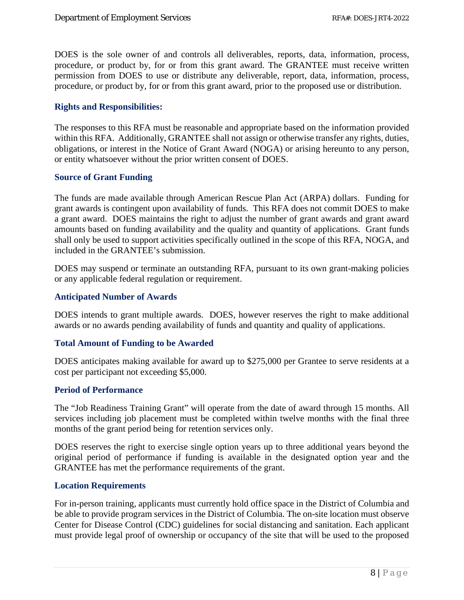DOES is the sole owner of and controls all deliverables, reports, data, information, process, procedure, or product by, for or from this grant award. The GRANTEE must receive written permission from DOES to use or distribute any deliverable, report, data, information, process, procedure, or product by, for or from this grant award, prior to the proposed use or distribution.

#### <span id="page-8-0"></span>**Rights and Responsibilities:**

The responses to this RFA must be reasonable and appropriate based on the information provided within this RFA. Additionally, GRANTEE shall not assign or otherwise transfer any rights, duties, obligations, or interest in the Notice of Grant Award (NOGA) or arising hereunto to any person, or entity whatsoever without the prior written consent of DOES.

#### <span id="page-8-1"></span>**Source of Grant Funding**

The funds are made available through American Rescue Plan Act (ARPA) dollars. Funding for grant awards is contingent upon availability of funds. This RFA does not commit DOES to make a grant award. DOES maintains the right to adjust the number of grant awards and grant award amounts based on funding availability and the quality and quantity of applications. Grant funds shall only be used to support activities specifically outlined in the scope of this RFA, NOGA, and included in the GRANTEE's submission.

DOES may suspend or terminate an outstanding RFA, pursuant to its own grant-making policies or any applicable federal regulation or requirement.

#### <span id="page-8-2"></span>**Anticipated Number of Awards**

DOES intends to grant multiple awards. DOES, however reserves the right to make additional awards or no awards pending availability of funds and quantity and quality of applications.

#### <span id="page-8-3"></span>**Total Amount of Funding to be Awarded**

DOES anticipates making available for award up to \$275,000 per Grantee to serve residents at a cost per participant not exceeding \$5,000.

#### <span id="page-8-4"></span>**Period of Performance**

The "Job Readiness Training Grant" will operate from the date of award through 15 months. All services including job placement must be completed within twelve months with the final three months of the grant period being for retention services only.

DOES reserves the right to exercise single option years up to three additional years beyond the original period of performance if funding is available in the designated option year and the GRANTEE has met the performance requirements of the grant.

#### <span id="page-8-5"></span>**Location Requirements**

For in-person training, applicants must currently hold office space in the District of Columbia and be able to provide program services in the District of Columbia. The on-site location must observe Center for Disease Control (CDC) guidelines for social distancing and sanitation. Each applicant must provide legal proof of ownership or occupancy of the site that will be used to the proposed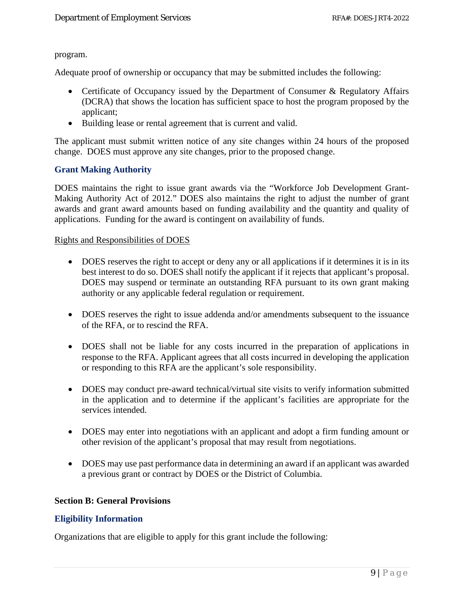#### program.

Adequate proof of ownership or occupancy that may be submitted includes the following:

- Certificate of Occupancy issued by the Department of Consumer & Regulatory Affairs (DCRA) that shows the location has sufficient space to host the program proposed by the applicant;
- Building lease or rental agreement that is current and valid.

The applicant must submit written notice of any site changes within 24 hours of the proposed change. DOES must approve any site changes, prior to the proposed change.

#### <span id="page-9-0"></span>**Grant Making Authority**

DOES maintains the right to issue grant awards via the "Workforce Job Development Grant-Making Authority Act of 2012." DOES also maintains the right to adjust the number of grant awards and grant award amounts based on funding availability and the quantity and quality of applications. Funding for the award is contingent on availability of funds.

#### Rights and Responsibilities of DOES

- DOES reserves the right to accept or deny any or all applications if it determines it is in its best interest to do so. DOES shall notify the applicant if it rejects that applicant's proposal. DOES may suspend or terminate an outstanding RFA pursuant to its own grant making authority or any applicable federal regulation or requirement.
- DOES reserves the right to issue addenda and/or amendments subsequent to the issuance of the RFA, or to rescind the RFA.
- DOES shall not be liable for any costs incurred in the preparation of applications in response to the RFA. Applicant agrees that all costs incurred in developing the application or responding to this RFA are the applicant's sole responsibility.
- DOES may conduct pre-award technical/virtual site visits to verify information submitted in the application and to determine if the applicant's facilities are appropriate for the services intended.
- DOES may enter into negotiations with an applicant and adopt a firm funding amount or other revision of the applicant's proposal that may result from negotiations.
- DOES may use past performance data in determining an award if an applicant was awarded a previous grant or contract by DOES or the District of Columbia.

#### <span id="page-9-1"></span>**Section B: General Provisions**

#### <span id="page-9-2"></span>**Eligibility Information**

Organizations that are eligible to apply for this grant include the following: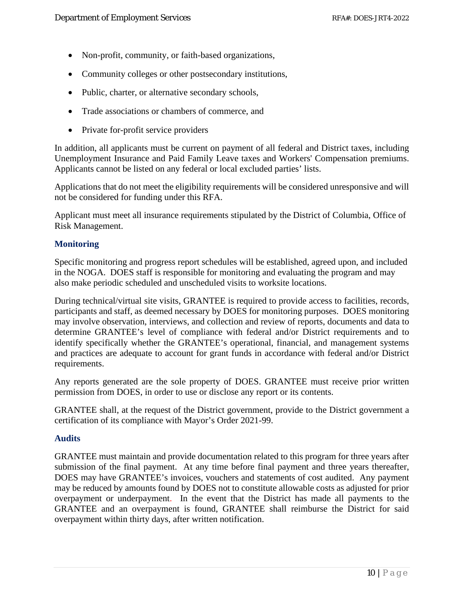- Non-profit, community, or faith-based organizations,
- Community colleges or other postsecondary institutions,
- Public, charter, or alternative secondary schools,
- Trade associations or chambers of commerce, and
- Private for-profit service providers

In addition, all applicants must be current on payment of all federal and District taxes, including Unemployment Insurance and Paid Family Leave taxes and Workers' Compensation premiums. Applicants cannot be listed on any federal or local excluded parties' lists.

Applications that do not meet the eligibility requirements will be considered unresponsive and will not be considered for funding under this RFA.

Applicant must meet all insurance requirements stipulated by the District of Columbia, Office of Risk Management.

# <span id="page-10-0"></span>**Monitoring**

Specific monitoring and progress report schedules will be established, agreed upon, and included in the NOGA. DOES staff is responsible for monitoring and evaluating the program and may also make periodic scheduled and unscheduled visits to worksite locations.

During technical/virtual site visits, GRANTEE is required to provide access to facilities, records, participants and staff, as deemed necessary by DOES for monitoring purposes. DOES monitoring may involve observation, interviews, and collection and review of reports, documents and data to determine GRANTEE's level of compliance with federal and/or District requirements and to identify specifically whether the GRANTEE's operational, financial, and management systems and practices are adequate to account for grant funds in accordance with federal and/or District requirements.

Any reports generated are the sole property of DOES. GRANTEE must receive prior written permission from DOES, in order to use or disclose any report or its contents.

GRANTEE shall, at the request of the District government, provide to the District government a certification of its compliance with Mayor's Order 2021-99.

# <span id="page-10-1"></span>**Audits**

GRANTEE must maintain and provide documentation related to this program for three years after submission of the final payment. At any time before final payment and three years thereafter, DOES may have GRANTEE's invoices, vouchers and statements of cost audited. Any payment may be reduced by amounts found by DOES not to constitute allowable costs as adjusted for prior overpayment or underpayment. In the event that the District has made all payments to the GRANTEE and an overpayment is found, GRANTEE shall reimburse the District for said overpayment within thirty days, after written notification.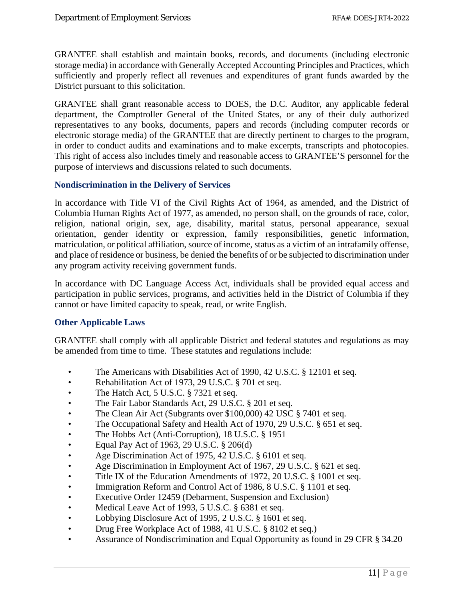GRANTEE shall establish and maintain books, records, and documents (including electronic storage media) in accordance with Generally Accepted Accounting Principles and Practices, which sufficiently and properly reflect all revenues and expenditures of grant funds awarded by the District pursuant to this solicitation.

GRANTEE shall grant reasonable access to DOES, the D.C. Auditor, any applicable federal department, the Comptroller General of the United States, or any of their duly authorized representatives to any books, documents, papers and records (including computer records or electronic storage media) of the GRANTEE that are directly pertinent to charges to the program, in order to conduct audits and examinations and to make excerpts, transcripts and photocopies. This right of access also includes timely and reasonable access to GRANTEE'S personnel for the purpose of interviews and discussions related to such documents.

#### <span id="page-11-0"></span>**Nondiscrimination in the Delivery of Services**

In accordance with Title VI of the Civil Rights Act of 1964, as amended, and the District of Columbia Human Rights Act of 1977, as amended, no person shall, on the grounds of race, color, religion, national origin, sex, age, disability, marital status, personal appearance, sexual orientation, gender identity or expression, family responsibilities, genetic information, matriculation, or political affiliation, source of income, status as a victim of an intrafamily offense, and place of residence or business, be denied the benefits of or be subjected to discrimination under any program activity receiving government funds.

In accordance with DC Language Access Act, individuals shall be provided equal access and participation in public services, programs, and activities held in the District of Columbia if they cannot or have limited capacity to speak, read, or write English.

# <span id="page-11-1"></span>**Other Applicable Laws**

GRANTEE shall comply with all applicable District and federal statutes and regulations as may be amended from time to time. These statutes and regulations include:

- The Americans with Disabilities Act of 1990, 42 U.S.C. § 12101 et seq.
- Rehabilitation Act of 1973, 29 U.S.C. § 701 et seq.
- The Hatch Act, 5 U.S.C. § 7321 et seq.
- The Fair Labor Standards Act, 29 U.S.C. § 201 et seq.
- The Clean Air Act (Subgrants over \$100,000) 42 USC § 7401 et seq.
- The Occupational Safety and Health Act of 1970, 29 U.S.C. § 651 et seq.
- The Hobbs Act (Anti-Corruption), 18 U.S.C. § 1951
- Equal Pay Act of 1963, 29 U.S.C.  $\S 206(d)$
- Age Discrimination Act of 1975, 42 U.S.C. § 6101 et seq.
- Age Discrimination in Employment Act of 1967, 29 U.S.C. § 621 et seq.
- Title IX of the Education Amendments of 1972, 20 U.S.C. § 1001 et seq.
- Immigration Reform and Control Act of 1986, 8 U.S.C. § 1101 et seq.
- Executive Order 12459 (Debarment, Suspension and Exclusion)
- Medical Leave Act of 1993, 5 U.S.C. § 6381 et seq.
- Lobbying Disclosure Act of 1995, 2 U.S.C. § 1601 et seq.
- Drug Free Workplace Act of 1988, 41 U.S.C. § 8102 et seq.)
- Assurance of Nondiscrimination and Equal Opportunity as found in 29 CFR § 34.20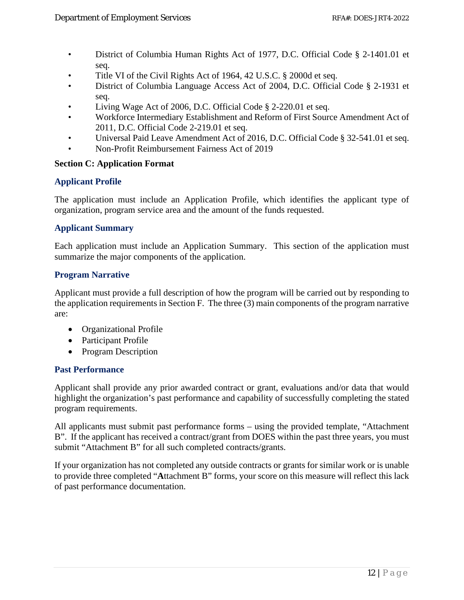- District of Columbia Human Rights Act of 1977, D.C. Official Code § 2-1401.01 et seq.
- Title VI of the Civil Rights Act of 1964, 42 U.S.C. § 2000d et seq.
- District of Columbia Language Access Act of 2004, D.C. Official Code § 2-1931 et seq.
- Living Wage Act of 2006, D.C. Official Code § 2-220.01 et seq.
- Workforce Intermediary Establishment and Reform of First Source Amendment Act of 2011, D.C. Official Code 2-219.01 et seq.
- Universal Paid Leave Amendment Act of 2016, D.C. Official Code § 32-541.01 et seq.
- Non-Profit Reimbursement Fairness Act of 2019

#### <span id="page-12-0"></span>**Section C: Application Format**

# <span id="page-12-1"></span>**Applicant Profile**

The application must include an Application Profile, which identifies the applicant type of organization, program service area and the amount of the funds requested.

#### <span id="page-12-2"></span>**Applicant Summary**

Each application must include an Application Summary. This section of the application must summarize the major components of the application.

#### <span id="page-12-3"></span>**Program Narrative**

Applicant must provide a full description of how the program will be carried out by responding to the application requirements in Section F. The three (3) main components of the program narrative are:

- Organizational Profile
- Participant Profile
- Program Description

#### <span id="page-12-4"></span>**Past Performance**

Applicant shall provide any prior awarded contract or grant, evaluations and/or data that would highlight the organization's past performance and capability of successfully completing the stated program requirements.

All applicants must submit past performance forms – using the provided template, "Attachment B". If the applicant has received a contract/grant from DOES within the past three years, you must submit "Attachment B" for all such completed contracts/grants.

If your organization has not completed any outside contracts or grants for similar work or is unable to provide three completed "**A**ttachment B" forms, your score on this measure will reflect this lack of past performance documentation.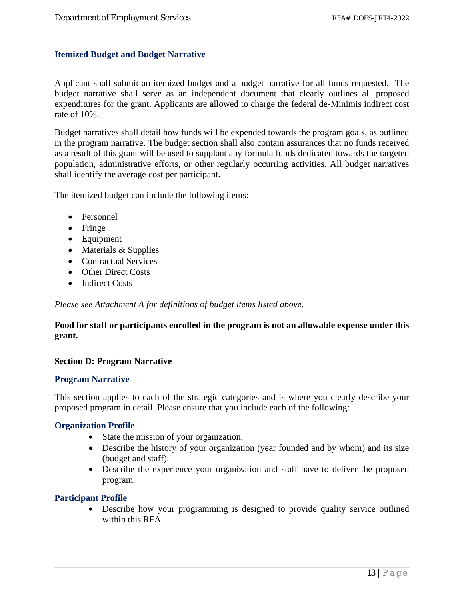#### <span id="page-13-0"></span>**Itemized Budget and Budget Narrative**

Applicant shall submit an itemized budget and a budget narrative for all funds requested. The budget narrative shall serve as an independent document that clearly outlines all proposed expenditures for the grant. Applicants are allowed to charge the federal de-Minimis indirect cost rate of 10%.

Budget narratives shall detail how funds will be expended towards the program goals, as outlined in the program narrative. The budget section shall also contain assurances that no funds received as a result of this grant will be used to supplant any formula funds dedicated towards the targeted population, administrative efforts, or other regularly occurring activities. All budget narratives shall identify the average cost per participant.

The itemized budget can include the following items:

- Personnel
- Fringe
- Equipment
- Materials & Supplies
- Contractual Services
- Other Direct Costs
- Indirect Costs

*Please see Attachment A for definitions of budget items listed above.*

#### **Food for staff or participants enrolled in the program is not an allowable expense under this grant.**

#### <span id="page-13-1"></span>**Section D: Program Narrative**

#### <span id="page-13-2"></span>**Program Narrative**

This section applies to each of the strategic categories and is where you clearly describe your proposed program in detail. Please ensure that you include each of the following:

#### <span id="page-13-3"></span>**Organization Profile**

- State the mission of your organization.
- Describe the history of your organization (year founded and by whom) and its size (budget and staff).
- Describe the experience your organization and staff have to deliver the proposed program.

#### <span id="page-13-4"></span>**Participant Profile**

• Describe how your programming is designed to provide quality service outlined within this RFA.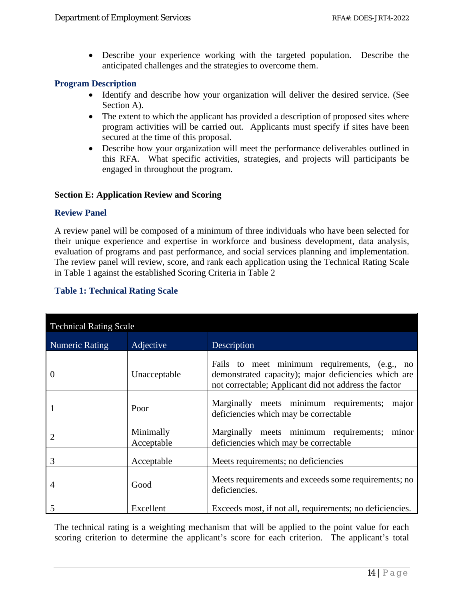• Describe your experience working with the targeted population. Describe the anticipated challenges and the strategies to overcome them.

#### <span id="page-14-0"></span>**Program Description**

- Identify and describe how your organization will deliver the desired service. (See Section A).
- The extent to which the applicant has provided a description of proposed sites where program activities will be carried out. Applicants must specify if sites have been secured at the time of this proposal.
- Describe how your organization will meet the performance deliverables outlined in this RFA. What specific activities, strategies, and projects will participants be engaged in throughout the program.

#### <span id="page-14-1"></span>**Section E: Application Review and Scoring**

#### <span id="page-14-2"></span>**Review Panel**

A review panel will be composed of a minimum of three individuals who have been selected for their unique experience and expertise in workforce and business development, data analysis, evaluation of programs and past performance, and social services planning and implementation. The review panel will review, score, and rank each application using the Technical Rating Scale in Table 1 against the established Scoring Criteria in Table 2

#### <span id="page-14-3"></span>**Table 1: Technical Rating Scale**

| <b>Technical Rating Scale</b> |                         |                                                                                                                                                                |  |  |
|-------------------------------|-------------------------|----------------------------------------------------------------------------------------------------------------------------------------------------------------|--|--|
| <b>Numeric Rating</b>         | Adjective               | Description                                                                                                                                                    |  |  |
| $\theta$                      | Unacceptable            | Fails to meet minimum requirements, (e.g., no<br>demonstrated capacity); major deficiencies which are<br>not correctable; Applicant did not address the factor |  |  |
|                               | Poor                    | Marginally meets minimum requirements;<br>major<br>deficiencies which may be correctable                                                                       |  |  |
| 2                             | Minimally<br>Acceptable | Marginally meets minimum requirements;<br>minor<br>deficiencies which may be correctable                                                                       |  |  |
| 3                             | Acceptable              | Meets requirements; no deficiencies                                                                                                                            |  |  |
| 4                             | Good                    | Meets requirements and exceeds some requirements; no<br>deficiencies.                                                                                          |  |  |
| 5                             | Excellent               | Exceeds most, if not all, requirements; no deficiencies.                                                                                                       |  |  |

The technical rating is a weighting mechanism that will be applied to the point value for each scoring criterion to determine the applicant's score for each criterion. The applicant's total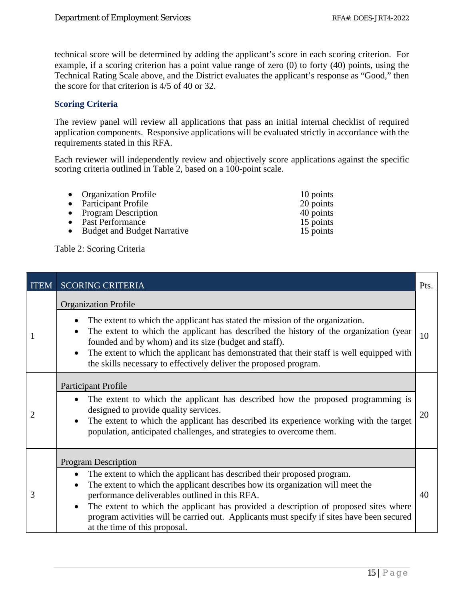technical score will be determined by adding the applicant's score in each scoring criterion. For example, if a scoring criterion has a point value range of zero (0) to forty (40) points, using the Technical Rating Scale above, and the District evaluates the applicant's response as "Good," then the score for that criterion is 4/5 of 40 or 32.

#### <span id="page-15-0"></span>**Scoring Criteria**

The review panel will review all applications that pass an initial internal checklist of required application components. Responsive applications will be evaluated strictly in accordance with the requirements stated in this RFA.

Each reviewer will independently review and objectively score applications against the specific scoring criteria outlined in Table 2, based on a 100-point scale.

| • Organization Profile<br>• Participant Profile<br>• Program Description | 10 points<br>20 points<br>40 points |
|--------------------------------------------------------------------------|-------------------------------------|
| • Past Performance                                                       | 15 points                           |
| • Budget and Budget Narrative                                            | 15 points                           |

Table 2: Scoring Criteria

| <b>ITEM</b> | <b>SCORING CRITERIA</b>                                                                                                                                                                                                                                                                                                                                                                                                                                          | Pts. |
|-------------|------------------------------------------------------------------------------------------------------------------------------------------------------------------------------------------------------------------------------------------------------------------------------------------------------------------------------------------------------------------------------------------------------------------------------------------------------------------|------|
| I           | <b>Organization Profile</b><br>The extent to which the applicant has stated the mission of the organization.<br>The extent to which the applicant has described the history of the organization (year<br>founded and by whom) and its size (budget and staff).<br>The extent to which the applicant has demonstrated that their staff is well equipped with<br>the skills necessary to effectively deliver the proposed program.                                 | 10   |
| 2           | Participant Profile<br>The extent to which the applicant has described how the proposed programming is<br>designed to provide quality services.<br>The extent to which the applicant has described its experience working with the target<br>population, anticipated challenges, and strategies to overcome them.                                                                                                                                                | 20   |
| 3           | <b>Program Description</b><br>The extent to which the applicant has described their proposed program.<br>The extent to which the applicant describes how its organization will meet the<br>performance deliverables outlined in this RFA.<br>The extent to which the applicant has provided a description of proposed sites where<br>program activities will be carried out. Applicants must specify if sites have been secured<br>at the time of this proposal. | 40   |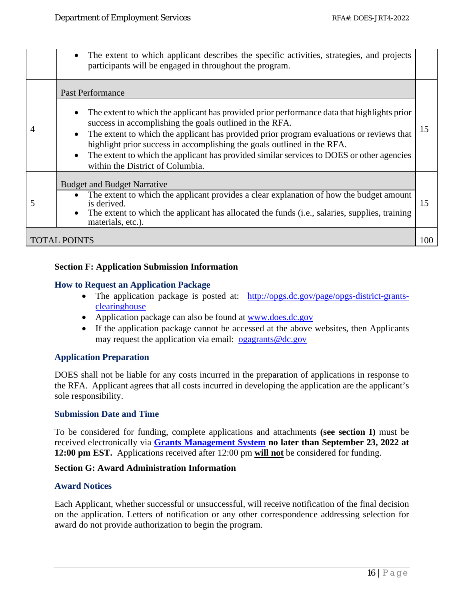|   | The extent to which applicant describes the specific activities, strategies, and projects<br>participants will be engaged in throughout the program.                                                                                                                                                                                                                                                                                                                                                                |     |
|---|---------------------------------------------------------------------------------------------------------------------------------------------------------------------------------------------------------------------------------------------------------------------------------------------------------------------------------------------------------------------------------------------------------------------------------------------------------------------------------------------------------------------|-----|
| 4 | <b>Past Performance</b><br>The extent to which the applicant has provided prior performance data that highlights prior<br>success in accomplishing the goals outlined in the RFA.<br>The extent to which the applicant has provided prior program evaluations or reviews that<br>$\bullet$<br>highlight prior success in accomplishing the goals outlined in the RFA.<br>The extent to which the applicant has provided similar services to DOES or other agencies<br>$\bullet$<br>within the District of Columbia. | 15  |
| 5 | <b>Budget and Budget Narrative</b><br>The extent to which the applicant provides a clear explanation of how the budget amount<br>is derived.<br>The extent to which the applicant has allocated the funds (i.e., salaries, supplies, training<br>materials, etc.).                                                                                                                                                                                                                                                  | 15  |
|   | TOTAL POINTS                                                                                                                                                                                                                                                                                                                                                                                                                                                                                                        | 100 |

#### <span id="page-16-0"></span>**Section F: Application Submission Information**

#### <span id="page-16-1"></span>**How to Request an Application Package**

- The application package is posted at: [http://opgs.dc.gov/page/opgs-district-grants](http://opgs.dc.gov/page/opgs-district-grants-clearinghouse)[clearinghouse](http://opgs.dc.gov/page/opgs-district-grants-clearinghouse)
- Application package can also be found at [www.does.dc.gov](http://www.does.dc.gov/)
- If the application package cannot be accessed at the above websites, then Applicants may request the application via email: <u>[ogagrants@dc.gov](mailto:ogagrants@dc.gov)</u>

#### <span id="page-16-2"></span>**Application Preparation**

DOES shall not be liable for any costs incurred in the preparation of applications in response to the RFA. Applicant agrees that all costs incurred in developing the application are the applicant's sole responsibility.

#### <span id="page-16-3"></span>**Submission Date and Time**

To be considered for funding, complete applications and attachments **(see section I)** must be received electronically via **[Grants Management System](https://jlweb.co/prod1/portal/portal.jsp?c=66176630&p=66183389&g=66183409) no later than September 23, 2022 at 12:00 pm EST.** Applications received after 12:00 pm **will not** be considered for funding.

#### <span id="page-16-4"></span>**Section G: Award Administration Information**

#### <span id="page-16-5"></span>**Award Notices**

Each Applicant, whether successful or unsuccessful, will receive notification of the final decision on the application. Letters of notification or any other correspondence addressing selection for award do not provide authorization to begin the program.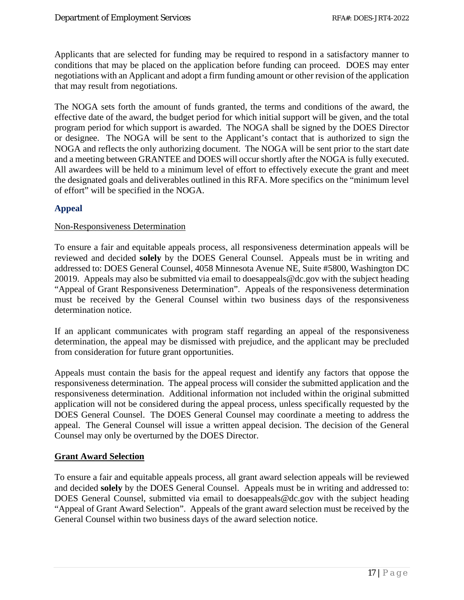Applicants that are selected for funding may be required to respond in a satisfactory manner to conditions that may be placed on the application before funding can proceed. DOES may enter negotiations with an Applicant and adopt a firm funding amount or other revision of the application that may result from negotiations.

The NOGA sets forth the amount of funds granted, the terms and conditions of the award, the effective date of the award, the budget period for which initial support will be given, and the total program period for which support is awarded. The NOGA shall be signed by the DOES Director or designee. The NOGA will be sent to the Applicant's contact that is authorized to sign the NOGA and reflects the only authorizing document. The NOGA will be sent prior to the start date and a meeting between GRANTEE and DOES will occur shortly after the NOGA is fully executed. All awardees will be held to a minimum level of effort to effectively execute the grant and meet the designated goals and deliverables outlined in this RFA. More specifics on the "minimum level of effort" will be specified in the NOGA.

# <span id="page-17-0"></span>**Appeal**

#### Non-Responsiveness Determination

To ensure a fair and equitable appeals process, all responsiveness determination appeals will be reviewed and decided **solely** by the DOES General Counsel. Appeals must be in writing and addressed to: DOES General Counsel, 4058 Minnesota Avenue NE, Suite #5800, Washington DC 20019. Appeals may also be submitted via email to doesappeals@dc.gov with the subject heading "Appeal of Grant Responsiveness Determination". Appeals of the responsiveness determination must be received by the General Counsel within two business days of the responsiveness determination notice.

If an applicant communicates with program staff regarding an appeal of the responsiveness determination, the appeal may be dismissed with prejudice, and the applicant may be precluded from consideration for future grant opportunities.

Appeals must contain the basis for the appeal request and identify any factors that oppose the responsiveness determination. The appeal process will consider the submitted application and the responsiveness determination. Additional information not included within the original submitted application will not be considered during the appeal process, unless specifically requested by the DOES General Counsel. The DOES General Counsel may coordinate a meeting to address the appeal. The General Counsel will issue a written appeal decision. The decision of the General Counsel may only be overturned by the DOES Director.

#### **Grant Award Selection**

To ensure a fair and equitable appeals process, all grant award selection appeals will be reviewed and decided **solely** by the DOES General Counsel. Appeals must be in writing and addressed to: DOES General Counsel, submitted via email to doesappeals@dc.gov with the subject heading "Appeal of Grant Award Selection". Appeals of the grant award selection must be received by the General Counsel within two business days of the award selection notice.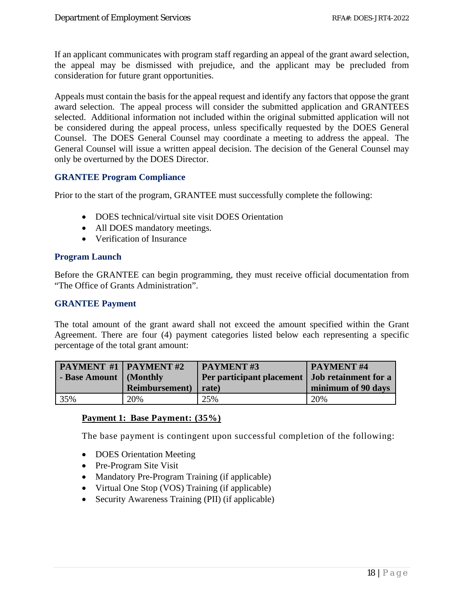If an applicant communicates with program staff regarding an appeal of the grant award selection, the appeal may be dismissed with prejudice, and the applicant may be precluded from consideration for future grant opportunities.

Appeals must contain the basis for the appeal request and identify any factors that oppose the grant award selection. The appeal process will consider the submitted application and GRANTEES selected. Additional information not included within the original submitted application will not be considered during the appeal process, unless specifically requested by the DOES General Counsel. The DOES General Counsel may coordinate a meeting to address the appeal. The General Counsel will issue a written appeal decision. The decision of the General Counsel may only be overturned by the DOES Director.

#### <span id="page-18-0"></span>**GRANTEE Program Compliance**

Prior to the start of the program, GRANTEE must successfully complete the following:

- DOES technical/virtual site visit DOES Orientation
- All DOES mandatory meetings.
- Verification of Insurance

#### <span id="page-18-1"></span>**Program Launch**

Before the GRANTEE can begin programming, they must receive official documentation from "The Office of Grants Administration".

#### <span id="page-18-2"></span>**GRANTEE Payment**

The total amount of the grant award shall not exceed the amount specified within the Grant Agreement. There are four (4) payment categories listed below each representing a specific percentage of the total grant amount:

| <b>PAYMENT #1   PAYMENT #2</b> |                        | PAYMENT#3                                        | <b>PAYMENT#4</b>   |
|--------------------------------|------------------------|--------------------------------------------------|--------------------|
| - Base Amount   (Monthly       |                        | Per participant placement   Job retainment for a |                    |
|                                | <b>Reimbursement</b> ) | rate)                                            | minimum of 90 days |
| 35%                            | 20%                    | 25%                                              | 20%                |

#### **Payment 1: Base Payment: (35%)**

The base payment is contingent upon successful completion of the following:

- DOES Orientation Meeting
- Pre-Program Site Visit
- Mandatory Pre-Program Training (if applicable)
- Virtual One Stop (VOS) Training (if applicable)
- Security Awareness Training (PII) (if applicable)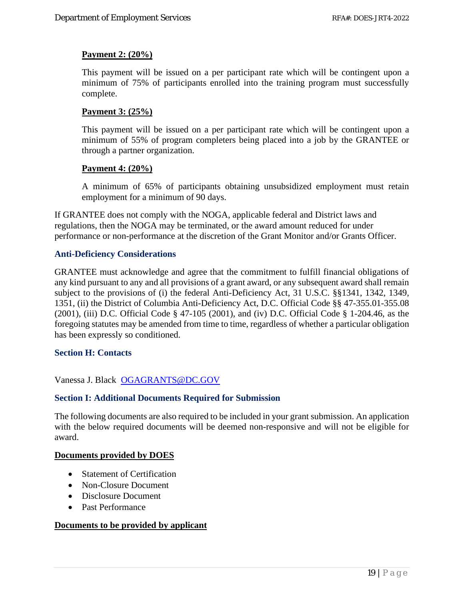#### **Payment 2: (20%)**

This payment will be issued on a per participant rate which will be contingent upon a minimum of 75% of participants enrolled into the training program must successfully complete.

#### **Payment 3: (25%)**

This payment will be issued on a per participant rate which will be contingent upon a minimum of 55% of program completers being placed into a job by the GRANTEE or through a partner organization.

#### **Payment 4: (20%)**

A minimum of 65% of participants obtaining unsubsidized employment must retain employment for a minimum of 90 days.

If GRANTEE does not comply with the NOGA, applicable federal and District laws and regulations, then the NOGA may be terminated, or the award amount reduced for under performance or non-performance at the discretion of the Grant Monitor and/or Grants Officer.

#### <span id="page-19-0"></span>**Anti-Deficiency Considerations**

GRANTEE must acknowledge and agree that the commitment to fulfill financial obligations of any kind pursuant to any and all provisions of a grant award, or any subsequent award shall remain subject to the provisions of (i) the federal Anti-Deficiency Act, 31 U.S.C. §§1341, 1342, 1349, 1351, (ii) the District of Columbia Anti-Deficiency Act, D.C. Official Code §§ 47-355.01-355.08 (2001), (iii) D.C. Official Code § 47-105 (2001), and (iv) D.C. Official Code § 1-204.46, as the foregoing statutes may be amended from time to time, regardless of whether a particular obligation has been expressly so conditioned.

#### <span id="page-19-1"></span>**Section H: Contacts**

Vanessa J. Black [OGAGRANTS@DC.GOV](mailto:OGAGRANTS@DC.GOV)

#### <span id="page-19-2"></span>**Section I: Additional Documents Required for Submission**

The following documents are also required to be included in your grant submission. An application with the below required documents will be deemed non-responsive and will not be eligible for award.

#### **Documents provided by DOES**

- Statement of Certification
- Non-Closure Document
- Disclosure Document
- Past Performance

#### **Documents to be provided by applicant**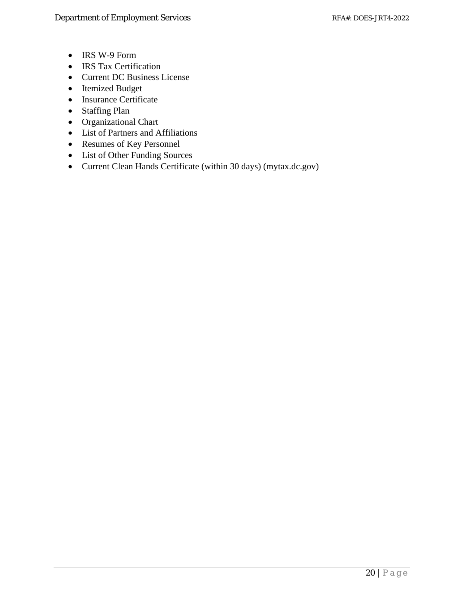- IRS W-9 Form
- IRS Tax Certification
- Current DC Business License
- Itemized Budget
- Insurance Certificate
- Staffing Plan
- Organizational Chart
- List of Partners and Affiliations
- Resumes of Key Personnel
- List of Other Funding Sources
- Current Clean Hands Certificate (within 30 days) (mytax.dc.gov)